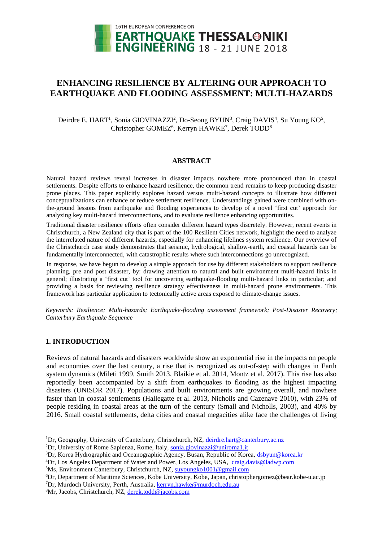

# **ENHANCING RESILIENCE BY ALTERING OUR APPROACH TO EARTHQUAKE AND FLOODING ASSESSMENT: MULTI-HAZARDS**

Deirdre E. HART<sup>1</sup>, Sonia GIOVINAZZI<sup>2</sup>, Do-Seong BYUN<sup>3</sup>, Craig DAVIS<sup>4</sup>, Su Young KO<sup>5</sup>, Christopher GOMEZ<sup>6</sup>, Kerryn HAWKE<sup>7</sup>, Derek TODD<sup>8</sup>

#### **ABSTRACT**

Natural hazard reviews reveal increases in disaster impacts nowhere more pronounced than in coastal settlements. Despite efforts to enhance hazard resilience, the common trend remains to keep producing disaster prone places. This paper explicitly explores hazard versus multi-hazard concepts to illustrate how different conceptualizations can enhance or reduce settlement resilience. Understandings gained were combined with onthe-ground lessons from earthquake and flooding experiences to develop of a novel 'first cut' approach for analyzing key multi-hazard interconnections, and to evaluate resilience enhancing opportunities.

Traditional disaster resilience efforts often consider different hazard types discretely. However, recent events in Christchurch, a New Zealand city that is part of the 100 Resilient Cities network, highlight the need to analyze the interrelated nature of different hazards, especially for enhancing lifelines system resilience. Our overview of the Christchurch case study demonstrates that seismic, hydrological, shallow-earth, and coastal hazards can be fundamentally interconnected, with catastrophic results where such interconnections go unrecognized.

In response, we have begun to develop a simple approach for use by different stakeholders to support resilience planning, pre and post disaster, by: drawing attention to natural and built environment multi-hazard links in general; illustrating a 'first cut' tool for uncovering earthquake-flooding multi-hazard links in particular; and providing a basis for reviewing resilience strategy effectiveness in multi-hazard prone environments. This framework has particular application to tectonically active areas exposed to climate-change issues.

*Keywords: Resilience; Multi-hazards; Earthquake-flooding assessment framework; Post-Disaster Recovery; Canterbury Earthquake Sequence*

#### **1. INTRODUCTION**

l

Reviews of natural hazards and disasters worldwide show an exponential rise in the impacts on people and economies over the last century, a rise that is recognized as out-of-step with changes in Earth system dynamics (Mileti 1999, Smith 2013, Blaikie et al. 2014, Montz et al. 2017). This rise has also reportedly been accompanied by a shift from earthquakes to flooding as the highest impacting disasters (UNISDR 2017). Populations and built environments are growing overall, and nowhere faster than in coastal settlements (Hallegatte et al. 2013, Nicholls and Cazenave 2010), with 23% of people residing in coastal areas at the turn of the century (Small and Nicholls, 2003), and 40% by 2016. Small coastal settlements, delta cities and coastal megacities alike face the challenges of living

<sup>&</sup>lt;sup>1</sup>Dr, Geography, University of Canterbury, Christchurch, NZ, [deirdre.hart@canterbury.ac.nz](mailto:deirdre.hart@canterbury.ac.nz)

<sup>&</sup>lt;sup>2</sup>Dr, University of Rome Sapienza, Rome, Italy, [sonia.giovinazzi@uniroma1.it](mailto:sonia.giovinazzi@uniroma1.it)

<sup>3</sup>Dr, Korea Hydrographic and Oceanographic Agency, Busan, Republic of Korea, [dsbyun@korea.kr](mailto:dsbyun@korea.kr)

<sup>4</sup>Dr, Los Angeles Department of Water and Power, Los Angeles, USA[, craig.davis@ladwp.com](mailto:emailaddress@canterbury.ac.nz)

<sup>&</sup>lt;sup>5</sup>Ms, Environment Canterbury, Christchurch, NZ[, suyoungko1001@gmail.com](mailto:suyoungko1001@gmail.com)

<sup>6</sup>Dr, Department of Maritime Sciences, Kobe University, Kobe, Japan, christophergomez@bear.kobe-u.ac.jp

<sup>7</sup>Dr, Murdoch University, Perth, Australia, [kerryn.hawke@murdoch.e](mailto:kerryn.hawke@murdoch)du.au

<sup>8</sup>Mr, Jacobs, Christchurch, NZ, [derek.todd@jacobs.com](mailto:derek.todd@jacobs.com)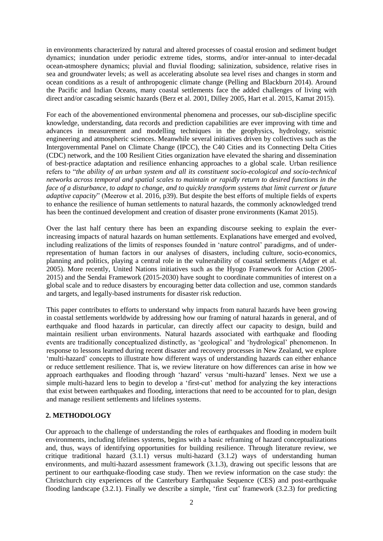in environments characterized by natural and altered processes of coastal erosion and sediment budget dynamics; inundation under periodic extreme tides, storms, and/or inter-annual to inter-decadal ocean-atmosphere dynamics; pluvial and fluvial flooding; salinization, subsidence, relative rises in sea and groundwater levels; as well as accelerating absolute sea level rises and changes in storm and ocean conditions as a result of anthropogenic climate change (Pelling and Blackburn 2014). Around the Pacific and Indian Oceans, many coastal settlements face the added challenges of living with direct and/or cascading seismic hazards (Berz et al. 2001, Dilley 2005, Hart et al. 2015, Kamat 2015).

For each of the abovementioned environmental phenomena and processes, our sub-discipline specific knowledge, understanding, data records and prediction capabilities are ever improving with time and advances in measurement and modelling techniques in the geophysics, hydrology, seismic engineering and atmospheric sciences. Meanwhile several initiatives driven by collectives such as the Intergovernmental Panel on Climate Change (IPCC), the C40 Cities and its Connecting Delta Cities (CDC) network, and the 100 Resilient Cities organization have elevated the sharing and dissemination of best-practice adaptation and resilience enhancing approaches to a global scale. Urban resilience refers to "*the ability of an urban system and all its constituent socio-ecological and socio-technical networks across temporal and spatial scales to maintain or rapidly return to desired functions in the face of a disturbance, to adapt to change, and to quickly transform systems that limit current or future adaptive capacity*" (Meerow et al. 2016, p39). But despite the best efforts of multiple fields of experts to enhance the resilience of human settlements to natural hazards, the commonly acknowledged trend has been the continued development and creation of disaster prone environments (Kamat 2015).

Over the last half century there has been an expanding discourse seeking to explain the everincreasing impacts of natural hazards on human settlements. Explanations have emerged and evolved, including realizations of the limits of responses founded in 'nature control' paradigms, and of underrepresentation of human factors in our analyses of disasters, including culture, socio-economics, planning and politics, playing a central role in the vulnerability of coastal settlements (Adger et al. 2005). More recently, United Nations initiatives such as the Hyogo Framework for Action (2005- 2015) and the Sendai Framework (2015-2030) have sought to coordinate communities of interest on a global scale and to reduce disasters by encouraging better data collection and use, common standards and targets, and legally-based instruments for disaster risk reduction.

This paper contributes to efforts to understand why impacts from natural hazards have been growing in coastal settlements worldwide by addressing how our framing of natural hazards in general, and of earthquake and flood hazards in particular, can directly affect our capacity to design, build and maintain resilient urban environments. Natural hazards associated with earthquake and flooding events are traditionally conceptualized distinctly, as 'geological' and 'hydrological' phenomenon. In response to lessons learned during recent disaster and recovery processes in New Zealand, we explore 'multi-hazard' concepts to illustrate how different ways of understanding hazards can either enhance or reduce settlement resilience. That is, we review literature on how differences can arise in how we approach earthquakes and flooding through 'hazard' versus 'multi-hazard' lenses. Next we use a simple multi-hazard lens to begin to develop a 'first-cut' method for analyzing the key interactions that exist between earthquakes and flooding, interactions that need to be accounted for to plan, design and manage resilient settlements and lifelines systems.

## **2. METHODOLOGY**

Our approach to the challenge of understanding the roles of earthquakes and flooding in modern built environments, including lifelines systems, begins with a basic reframing of hazard conceptualizations and, thus, ways of identifying opportunities for building resilience. Through literature review, we critique traditional hazard (3.1.1) versus multi-hazard (3.1.2) ways of understanding human environments, and multi-hazard assessment framework (3.1.3), drawing out specific lessons that are pertinent to our earthquake-flooding case study. Then we review information on the case study: the Christchurch city experiences of the Canterbury Earthquake Sequence (CES) and post-earthquake flooding landscape (3.2.1). Finally we describe a simple, 'first cut' framework (3.2.3) for predicting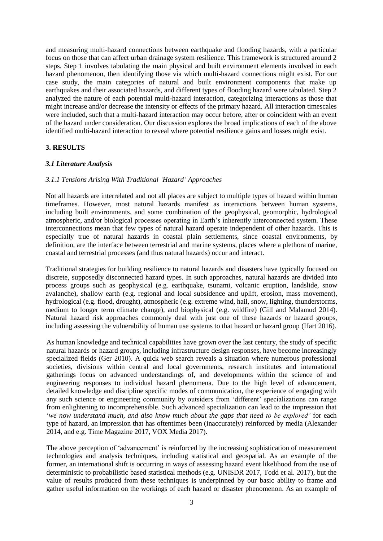and measuring multi-hazard connections between earthquake and flooding hazards, with a particular focus on those that can affect urban drainage system resilience. This framework is structured around 2 steps. Step 1 involves tabulating the main physical and built environment elements involved in each hazard phenomenon, then identifying those via which multi-hazard connections might exist. For our case study, the main categories of natural and built environment components that make up earthquakes and their associated hazards, and different types of flooding hazard were tabulated. Step 2 analyzed the nature of each potential multi-hazard interaction, categorizing interactions as those that might increase and/or decrease the intensity or effects of the primary hazard. All interaction timescales were included, such that a multi-hazard interaction may occur before, after or coincident with an event of the hazard under consideration. Our discussion explores the broad implications of each of the above identified multi-hazard interaction to reveal where potential resilience gains and losses might exist.

## **3. RESULTS**

## *3.1 Literature Analysis*

## *3.1.1 Tensions Arising With Traditional 'Hazard' Approaches*

Not all hazards are interrelated and not all places are subject to multiple types of hazard within human timeframes. However, most natural hazards manifest as interactions between human systems, including built environments, and some combination of the geophysical, geomorphic, hydrological atmospheric, and/or biological processes operating in Earth's inherently interconnected system. These interconnections mean that few types of natural hazard operate independent of other hazards. This is especially true of natural hazards in coastal plain settlements, since coastal environments, by definition, are the interface between terrestrial and marine systems, places where a plethora of marine, coastal and terrestrial processes (and thus natural hazards) occur and interact.

Traditional strategies for building resilience to natural hazards and disasters have typically focused on discrete, supposedly disconnected hazard types. In such approaches, natural hazards are divided into process groups such as geophysical (e.g. earthquake, tsunami, volcanic eruption, landslide, snow avalanche), shallow earth (e.g. regional and local subsidence and uplift, erosion, mass movement), hydrological (e.g. flood, drought), atmospheric (e.g. extreme wind, hail, snow, lighting, thunderstorms, medium to longer term climate change), and biophysical (e.g. wildfire) (Gill and Malamud 2014). Natural hazard risk approaches commonly deal with just one of these hazards or hazard groups, including assessing the vulnerability of human use systems to that hazard or hazard group (Hart 2016).

As human knowledge and technical capabilities have grown over the last century, the study of specific natural hazards or hazard groups, including infrastructure design responses, have become increasingly specialized fields (Ger 2010). A quick web search reveals a situation where numerous professional societies, divisions within central and local governments, research institutes and international gatherings focus on advanced understandings of, and developments within the science of and engineering responses to individual hazard phenomena. Due to the high level of advancement, detailed knowledge and discipline specific modes of communication, the experience of engaging with any such science or engineering community by outsiders from 'different' specializations can range from enlightening to incomprehensible. Such advanced specialization can lead to the impression that '*we now understand much, and also know much about the gaps that need to be explored'* for each type of hazard, an impression that has oftentimes been (inaccurately) reinforced by media (Alexander 2014, and e.g. Time Magazine 2017, VOX Media 2017).

The above perception of 'advancement' is reinforced by the increasing sophistication of measurement technologies and analysis techniques, including statistical and geospatial. As an example of the former, an international shift is occurring in ways of assessing hazard event likelihood from the use of deterministic to probabilistic based statistical methods (e.g. UNISDR 2017, Todd et al. 2017), but the value of results produced from these techniques is underpinned by our basic ability to frame and gather useful information on the workings of each hazard or disaster phenomenon. As an example of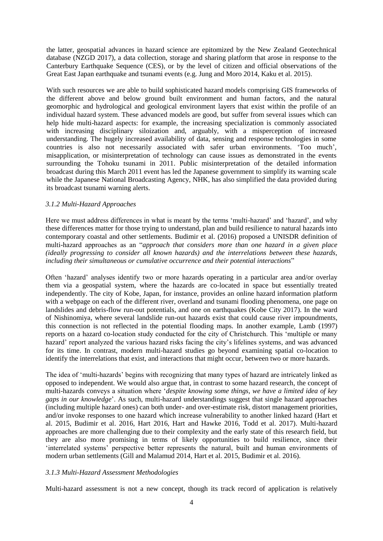the latter, geospatial advances in hazard science are epitomized by the New Zealand Geotechnical database (NZGD 2017), a data collection, storage and sharing platform that arose in response to the Canterbury Earthquake Sequence (CES), or by the level of citizen and official observations of the Great East Japan earthquake and tsunami events (e.g. Jung and Moro 2014, Kaku et al. 2015).

With such resources we are able to build sophisticated hazard models comprising GIS frameworks of the different above and below ground built environment and human factors, and the natural geomorphic and hydrological and geological environment layers that exist within the profile of an individual hazard system. These advanced models are good, but suffer from several issues which can help hide multi-hazard aspects: for example, the increasing specialization is commonly associated with increasing disciplinary siloization and, arguably, with a misperception of increased understanding. The hugely increased availability of data, sensing and response technologies in some countries is also not necessarily associated with safer urban environments. 'Too much', misapplication, or misinterpretation of technology can cause issues as demonstrated in the events surrounding the Tohoku tsunami in 2011. Public misinterpretation of the detailed information broadcast during this March 2011 event has led the Japanese government to simplify its warning scale while the Japanese National Broadcasting Agency, NHK, has also simplified the data provided during its broadcast tsunami warning alerts.

## *3.1.2 Multi-Hazard Approaches*

Here we must address differences in what is meant by the terms 'multi-hazard' and 'hazard', and why these differences matter for those trying to understand, plan and build resilience to natural hazards into contemporary coastal and other settlements. Budimir et al. (2016) proposed a UNISDR definition of multi-hazard approaches as an "*approach that considers more than one hazard in a given place (ideally progressing to consider all known hazards) and the interrelations between these hazards, including their simultaneous or cumulative occurrence and their potential interactions*"

Often 'hazard' analyses identify two or more hazards operating in a particular area and/or overlay them via a geospatial system, where the hazards are co-located in space but essentially treated independently. The city of Kobe, Japan, for instance, provides an online hazard information platform with a webpage on each of the different river, overland and tsunami flooding phenomena, one page on landslides and debris-flow run-out potentials, and one on earthquakes (Kobe City 2017). In the ward of Nishinomiya, where several landslide run-out hazards exist that could cause river impoundments, this connection is not reflected in the potential flooding maps. In another example, Lamb (1997) reports on a hazard co-location study conducted for the city of Christchurch. This 'multiple or many hazard' report analyzed the various hazard risks facing the city's lifelines systems, and was advanced for its time. In contrast, modern multi-hazard studies go beyond examining spatial co-location to identify the interrelations that exist, and interactions that might occur, between two or more hazards.

The idea of 'multi-hazards' begins with recognizing that many types of hazard are intricately linked as opposed to independent. We would also argue that, in contrast to some hazard research, the concept of multi-hazards conveys a situation where '*despite knowing some things, we have a limited idea of key gaps in our knowledge*'. As such, multi-hazard understandings suggest that single hazard approaches (including multiple hazard ones) can both under- and over-estimate risk, distort management priorities, and/or invoke responses to one hazard which increase vulnerability to another linked hazard (Hart et al. 2015, Budimir et al. 2016, Hart 2016, Hart and Hawke 2016, Todd et al. 2017). Multi-hazard approaches are more challenging due to their complexity and the early state of this research field, but they are also more promising in terms of likely opportunities to build resilience, since their 'interrelated systems' perspective better represents the natural, built and human environments of modern urban settlements (Gill and Malamud 2014, Hart et al. 2015, Budimir et al. 2016).

## *3.1.3 Multi-Hazard Assessment Methodologies*

Multi-hazard assessment is not a new concept, though its track record of application is relatively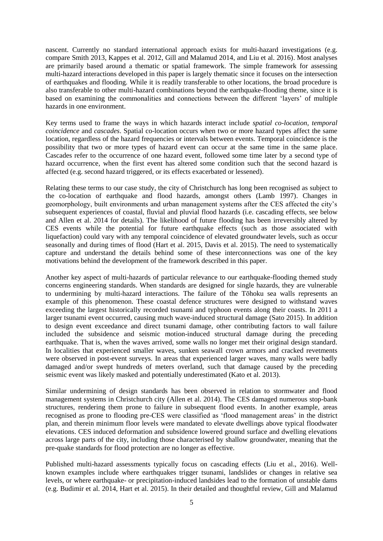nascent. Currently no standard international approach exists for multi-hazard investigations (e.g. compare Smith 2013, Kappes et al. 2012, Gill and Malamud 2014, and Liu et al. 2016). Most analyses are primarily based around a thematic or spatial framework. The simple framework for assessing multi-hazard interactions developed in this paper is largely thematic since it focuses on the intersection of earthquakes and flooding. While it is readily transferable to other locations, the broad procedure is also transferable to other multi-hazard combinations beyond the earthquake-flooding theme, since it is based on examining the commonalities and connections between the different 'layers' of multiple hazards in one environment.

Key terms used to frame the ways in which hazards interact include *spatial co-location*, *temporal coincidence* and *cascades*. Spatial co-location occurs when two or more hazard types affect the same location, regardless of the hazard frequencies or intervals between events. Temporal coincidence is the possibility that two or more types of hazard event can occur at the same time in the same place. Cascades refer to the occurrence of one hazard event, followed some time later by a second type of hazard occurrence, when the first event has altered some condition such that the second hazard is affected (e.g. second hazard triggered, or its effects exacerbated or lessened).

Relating these terms to our case study, the city of Christchurch has long been recognised as subject to the co-location of earthquake and flood hazards, amongst others (Lamb 1997). Changes in geomorphology, built environments and urban management systems after the CES affected the city's subsequent experiences of coastal, fluvial and pluvial flood hazards (i.e. cascading effects, see below and Allen et al. 2014 for details). The likelihood of future flooding has been irreversibly altered by CES events while the potential for future earthquake effects (such as those associated with liquefaction) could vary with any temporal coincidence of elevated groundwater levels, such as occur seasonally and during times of flood (Hart et al. 2015, Davis et al. 2015). The need to systematically capture and understand the details behind some of these interconnections was one of the key motivations behind the development of the framework described in this paper.

Another key aspect of multi-hazards of particular relevance to our earthquake-flooding themed study concerns engineering standards. When standards are designed for single hazards, they are vulnerable to undermining by multi-hazard interactions. The failure of the Tōhoku sea walls represents an example of this phenomenon. These coastal defence structures were designed to withstand waves exceeding the largest historically recorded tsunami and typhoon events along their coasts. In 2011 a larger tsunami event occurred, causing much wave-induced structural damage (Sato 2015). In addition to design event exceedance and direct tsunami damage, other contributing factors to wall failure included the subsidence and seismic motion-induced structural damage during the preceding earthquake. That is, when the waves arrived, some walls no longer met their original design standard. In localities that experienced smaller waves, sunken seawall crown armors and cracked revetments were observed in post-event surveys. In areas that experienced larger waves, many walls were badly damaged and/or swept hundreds of meters overland, such that damage caused by the preceding seismic event was likely masked and potentially underestimated (Kato et al. 2013).

Similar undermining of design standards has been observed in relation to stormwater and flood management systems in Christchurch city (Allen et al. 2014). The CES damaged numerous stop-bank structures, rendering them prone to failure in subsequent flood events. In another example, areas recognised as prone to flooding pre-CES were classified as 'flood management areas' in the district plan, and therein minimum floor levels were mandated to elevate dwellings above typical floodwater elevations. CES induced deformation and subsidence lowered ground surface and dwelling elevations across large parts of the city, including those characterised by shallow groundwater, meaning that the pre-quake standards for flood protection are no longer as effective.

Published multi-hazard assessments typically focus on cascading effects (Liu et al., 2016). Wellknown examples include where earthquakes trigger tsunami, landslides or changes in relative sea levels, or where earthquake- or precipitation-induced landsides lead to the formation of unstable dams (e.g. Budimir et al. 2014, Hart et al. 2015). In their detailed and thoughtful review, Gill and Malamud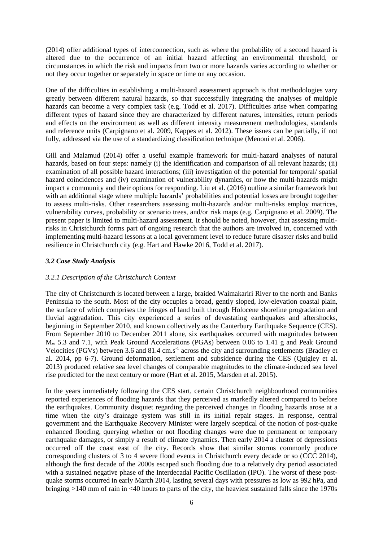(2014) offer additional types of interconnection, such as where the probability of a second hazard is altered due to the occurrence of an initial hazard affecting an environmental threshold, or circumstances in which the risk and impacts from two or more hazards varies according to whether or not they occur together or separately in space or time on any occasion.

One of the difficulties in establishing a multi-hazard assessment approach is that methodologies vary greatly between different natural hazards, so that successfully integrating the analyses of multiple hazards can become a very complex task (e.g. Todd et al. 2017). Difficulties arise when comparing different types of hazard since they are characterized by different natures, intensities, return periods and effects on the environment as well as different intensity measurement methodologies, standards and reference units (Carpignano et al. 2009, Kappes et al. 2012). These issues can be partially, if not fully, addressed via the use of a standardizing classification technique (Menoni et al. 2006).

Gill and Malamud (2014) offer a useful example framework for multi-hazard analyses of natural hazards, based on four steps: namely (i) the identification and comparison of all relevant hazards; (ii) examination of all possible hazard interactions; (iii) investigation of the potential for temporal/ spatial hazard coincidences and (iv) examination of vulnerability dynamics, or how the multi-hazards might impact a community and their options for responding. Liu et al. (2016) outline a similar framework but with an additional stage where multiple hazards' probabilities and potential losses are brought together to assess multi-risks. Other researchers assessing multi-hazards and/or multi-risks employ matrices, vulnerability curves, probability or scenario trees, and/or risk maps (e.g. Carpignano et al. 2009). The present paper is limited to multi-hazard assessment. It should be noted, however, that assessing multirisks in Christchurch forms part of ongoing research that the authors are involved in, concerned with implementing multi-hazard lessons at a local government level to reduce future disaster risks and build resilience in Christchurch city (e.g. Hart and Hawke 2016, Todd et al. 2017).

# *3.2 Case Study Analysis*

## *3.2.1 Description of the Christchurch Context*

The city of Christchurch is located between a large, braided Waimakariri River to the north and Banks Peninsula to the south. Most of the city occupies a broad, gently sloped, low-elevation coastal plain, the surface of which comprises the fringes of land built through Holocene shoreline progradation and fluvial aggradation. This city experienced a series of devastating earthquakes and aftershocks, beginning in September 2010, and known collectively as the Canterbury Earthquake Sequence (CES). From September 2010 to December 2011 alone, six earthquakes occurred with magnitudes between M<sup>w</sup> 5.3 and 7.1, with Peak Ground Accelerations (PGAs) between 0.06 to 1.41 g and Peak Ground Velocities (PGVs) between 3.6 and 81.4 cm.s<sup>-1</sup> across the city and surrounding settlements (Bradley et al. 2014, pp 6-7). Ground deformation, settlement and subsidence during the CES (Quigley et al. 2013) produced relative sea level changes of comparable magnitudes to the climate-induced sea level rise predicted for the next century or more (Hart et al. 2015, Marsden et al. 2015).

In the years immediately following the CES start, certain Christchurch neighbourhood communities reported experiences of flooding hazards that they perceived as markedly altered compared to before the earthquakes. Community disquiet regarding the perceived changes in flooding hazards arose at a time when the city's drainage system was still in its initial repair stages. In response, central government and the Earthquake Recovery Minister were largely sceptical of the notion of post-quake enhanced flooding, querying whether or not flooding changes were due to permanent or temporary earthquake damages, or simply a result of climate dynamics. Then early 2014 a cluster of depressions occurred off the coast east of the city. Records show that similar storms commonly produce corresponding clusters of 3 to 4 severe flood events in Christchurch every decade or so (CCC 2014), although the first decade of the 2000s escaped such flooding due to a relatively dry period associated with a sustained negative phase of the Interdecadal Pacific Oscillation (IPO). The worst of these postquake storms occurred in early March 2014, lasting several days with pressures as low as 992 hPa, and bringing >140 mm of rain in <40 hours to parts of the city, the heaviest sustained falls since the 1970s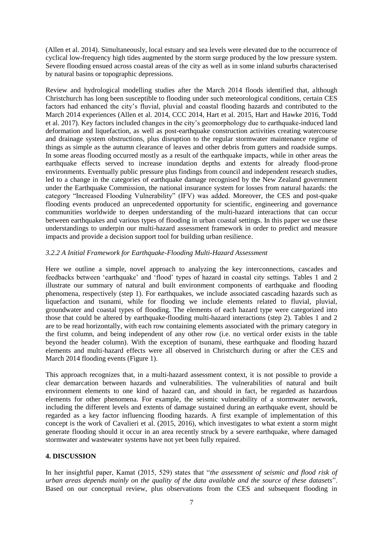(Allen et al. 2014). Simultaneously, local estuary and sea levels were elevated due to the occurrence of cyclical low-frequency high tides augmented by the storm surge produced by the low pressure system. Severe flooding ensued across coastal areas of the city as well as in some inland suburbs characterised by natural basins or topographic depressions.

Review and hydrological modelling studies after the March 2014 floods identified that, although Christchurch has long been susceptible to flooding under such meteorological conditions, certain CES factors had enhanced the city's fluvial, pluvial and coastal flooding hazards and contributed to the March 2014 experiences (Allen et al. 2014, CCC 2014, Hart et al. 2015, Hart and Hawke 2016, Todd et al. 2017). Key factors included changes in the city's geomorphology due to earthquake-induced land deformation and liquefaction, as well as post-earthquake construction activities creating watercourse and drainage system obstructions, plus disruption to the regular stormwater maintenance regime of things as simple as the autumn clearance of leaves and other debris from gutters and roadside sumps. In some areas flooding occurred mostly as a result of the earthquake impacts, while in other areas the earthquake effects served to increase inundation depths and extents for already flood-prone environments. Eventually public pressure plus findings from council and independent research studies, led to a change in the categories of earthquake damage recognised by the New Zealand government under the Earthquake Commission, the national insurance system for losses from natural hazards: the category "Increased Flooding Vulnerability" (IFV) was added. Moreover, the CES and post-quake flooding events produced an unprecedented opportunity for scientific, engineering and governance communities worldwide to deepen understanding of the multi-hazard interactions that can occur between earthquakes and various types of flooding in urban coastal settings. In this paper we use these understandings to underpin our multi-hazard assessment framework in order to predict and measure impacts and provide a decision support tool for building urban resilience.

## *3.2.2 A Initial Framework for Earthquake-Flooding Multi-Hazard Assessment*

Here we outline a simple, novel approach to analyzing the key interconnections, cascades and feedbacks between 'earthquake' and 'flood' types of hazard in coastal city settings. Tables 1 and 2 illustrate our summary of natural and built environment components of earthquake and flooding phenomena, respectively (step 1). For earthquakes, we include associated cascading hazards such as liquefaction and tsunami, while for flooding we include elements related to fluvial, pluvial, groundwater and coastal types of flooding. The elements of each hazard type were categorized into those that could be altered by earthquake-flooding multi-hazard interactions (step 2). Tables 1 and 2 are to be read horizontally, with each row containing elements associated with the primary category in the first column, and being independent of any other row (i.e. no vertical order exists in the table beyond the header column). With the exception of tsunami, these earthquake and flooding hazard elements and multi-hazard effects were all observed in Christchurch during or after the CES and March 2014 flooding events (Figure 1).

This approach recognizes that, in a multi-hazard assessment context, it is not possible to provide a clear demarcation between hazards and vulnerabilities. The vulnerabilities of natural and built environment elements to one kind of hazard can, and should in fact, be regarded as hazardous elements for other phenomena. For example, the seismic vulnerability of a stormwater network, including the different levels and extents of damage sustained during an earthquake event, should be regarded as a key factor influencing flooding hazards. A first example of implementation of this concept is the work of Cavalieri et al. (2015, 2016), which investigates to what extent a storm might generate flooding should it occur in an area recently struck by a severe earthquake, where damaged stormwater and wastewater systems have not yet been fully repaired.

## **4. DISCUSSION**

In her insightful paper, Kamat (2015, 529) states that "*the assessment of seismic and flood risk of urban areas depends mainly on the quality of the data available and the source of these datasets*". Based on our conceptual review, plus observations from the CES and subsequent flooding in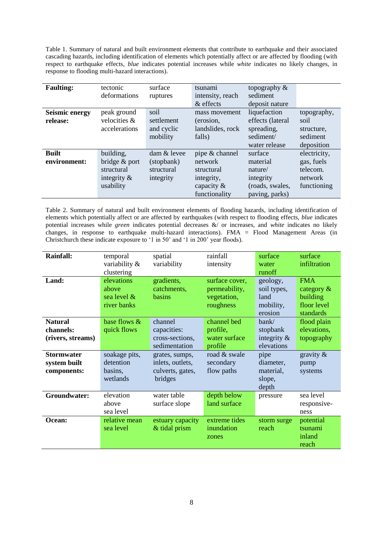Table 1. Summary of natural and built environment elements that contribute to earthquake and their associated cascading hazards, including identification of elements which potentially affect or are affected by flooding (with respect to earthquake effects, *blue* indicates potential increases while *white* indicates no likely changes, in response to flooding multi-hazard interactions).

| <b>Faulting:</b>                  | tectonic<br>deformations                                                | surface<br>ruptures                                      | tsunami<br>intensity, reach<br>& effects                                                | topography &<br>sediment<br>deposit nature                                       |                                                                  |
|-----------------------------------|-------------------------------------------------------------------------|----------------------------------------------------------|-----------------------------------------------------------------------------------------|----------------------------------------------------------------------------------|------------------------------------------------------------------|
| <b>Seismic energy</b><br>release: | peak ground<br>velocities &<br>accelerations                            | soil<br>settlement<br>and cyclic<br>mobility             | mass movement<br>(erosion,<br>landslides, rock<br>falls)                                | liquefaction<br>effects (lateral<br>spreading,<br>sediment/<br>water release     | topography,<br>soil<br>structure,<br>sediment<br>deposition      |
| <b>Built</b><br>environment:      | building,<br>bridge & port<br>structural<br>integrity $\&$<br>usability | $\dim \&$ levee<br>(stopbank)<br>structural<br>integrity | pipe & channel<br>network<br>structural<br>integrity,<br>capacity $\&$<br>functionality | surface<br>material<br>nature/<br>integrity<br>(roads, swales,<br>paving, parks) | electricity,<br>gas, fuels<br>telecom.<br>network<br>functioning |

Table 2. Summary of natural and built environment elements of flooding hazards, including identification of elements which potentially affect or are affected by earthquakes (with respect to flooding effects, *blue* indicates potential increases while *green* indicates potential decreases &/ or increases, and *white* indicates no likely changes, in response to earthquake multi-hazard interactions). FMA = Flood Management Areas (in Christchurch these indicate exposure to '1 in 50' and '1 in 200' year floods).

| <b>Rainfall:</b>                                 | temporal<br>variability &<br>clustering           | spatial<br>variability                                            | rainfall<br>intensity                                       | surface<br>water<br>runoff                              | surface<br>infiltration                                             |
|--------------------------------------------------|---------------------------------------------------|-------------------------------------------------------------------|-------------------------------------------------------------|---------------------------------------------------------|---------------------------------------------------------------------|
| Land:                                            | elevations<br>above<br>sea level &<br>river banks | gradients,<br>catchments,<br>basins                               | surface cover,<br>permeability,<br>vegetation,<br>roughness | geology,<br>soil types,<br>land<br>mobility,<br>erosion | <b>FMA</b><br>category $\&$<br>building<br>floor level<br>standards |
| <b>Natural</b><br>channels:<br>(rivers, streams) | base flows &<br>quick flows                       | channel<br>capacities:<br>cross-sections,<br>sedimentation        | channel bed<br>profile,<br>water surface<br>profile         | bank/<br>stopbank<br>integrity $\&$<br>elevations       | flood plain<br>elevations,<br>topography                            |
| <b>Stormwater</b><br>system built<br>components: | soakage pits,<br>detention<br>basins,<br>wetlands | grates, sumps,<br>inlets, outlets,<br>culverts, gates,<br>bridges | road & swale<br>secondary<br>flow paths                     | pipe<br>diameter,<br>material,<br>slope,<br>depth       | gravity $\&$<br>pump<br>systems                                     |
| Groundwater:                                     | elevation<br>above<br>sea level                   | water table<br>surface slope                                      | depth below<br>land surface                                 | pressure                                                | sea level<br>responsive-<br>ness                                    |
| Ocean:                                           | relative mean<br>sea level                        | estuary capacity<br>& tidal prism                                 | extreme tides<br>inundation<br>zones                        | storm surge<br>reach                                    | potential<br>tsunami<br>inland<br>reach                             |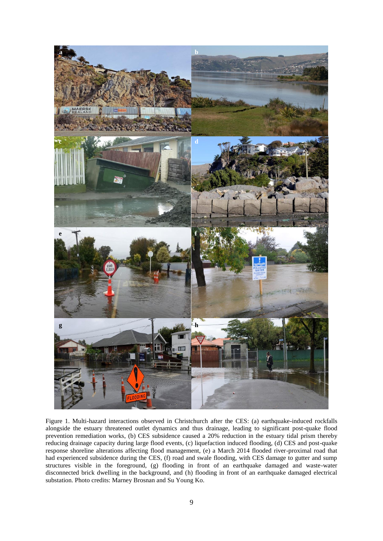

Figure 1. Multi-hazard interactions observed in Christchurch after the CES: (a) earthquake-induced rockfalls alongside the estuary threatened outlet dynamics and thus drainage, leading to significant post-quake flood prevention remediation works, (b) CES subsidence caused a 20% reduction in the estuary tidal prism thereby reducing drainage capacity during large flood events, (c) liquefaction induced flooding, (d) CES and post-quake response shoreline alterations affecting flood management, (e) a March 2014 flooded river-proximal road that had experienced subsidence during the CES, (f) road and swale flooding, with CES damage to gutter and sump structures visible in the foreground, (g) flooding in front of an earthquake damaged and waste-water disconnected brick dwelling in the background, and (h) flooding in front of an earthquake damaged electrical substation. Photo credits: Marney Brosnan and Su Young Ko.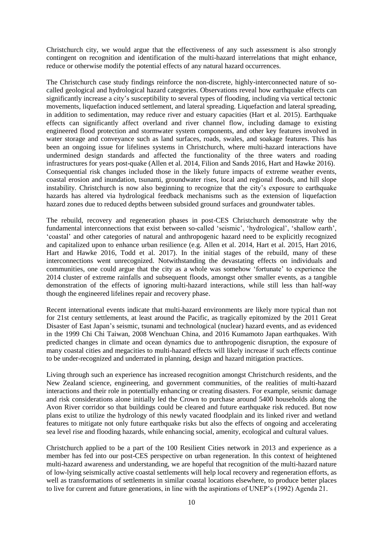Christchurch city, we would argue that the effectiveness of any such assessment is also strongly contingent on recognition and identification of the multi-hazard interrelations that might enhance, reduce or otherwise modify the potential effects of any natural hazard occurrences.

The Christchurch case study findings reinforce the non-discrete, highly-interconnected nature of socalled geological and hydrological hazard categories. Observations reveal how earthquake effects can significantly increase a city's susceptibility to several types of flooding, including via vertical tectonic movements, liquefaction induced settlement, and lateral spreading. Liquefaction and lateral spreading, in addition to sedimentation, may reduce river and estuary capacities (Hart et al. 2015). Earthquake effects can significantly affect overland and river channel flow, including damage to existing engineered flood protection and stormwater system components, and other key features involved in water storage and conveyance such as land surfaces, roads, swales, and soakage features. This has been an ongoing issue for lifelines systems in Christchurch, where multi-hazard interactions have undermined design standards and affected the functionality of the three waters and roading infrastructures for years post-quake (Allen et al. 2014, Filion and Sands 2016, Hart and Hawke 2016). Consequential risk changes included those in the likely future impacts of extreme weather events, coastal erosion and inundation, tsunami, groundwater rises, local and regional floods, and hill slope instability. Christchurch is now also beginning to recognize that the city's exposure to earthquake hazards has altered via hydrological feedback mechanisms such as the extension of liquefaction hazard zones due to reduced depths between subsided ground surfaces and groundwater tables.

The rebuild, recovery and regeneration phases in post-CES Christchurch demonstrate why the fundamental interconnections that exist between so-called 'seismic', 'hydrological', 'shallow earth', 'coastal' and other categories of natural and anthropogenic hazard need to be explicitly recognized and capitalized upon to enhance urban resilience (e.g. Allen et al. 2014, Hart et al. 2015, Hart 2016, Hart and Hawke 2016, Todd et al. 2017). In the initial stages of the rebuild, many of these interconnections went unrecognized. Notwithstanding the devastating effects on individuals and communities, one could argue that the city as a whole was somehow 'fortunate' to experience the 2014 cluster of extreme rainfalls and subsequent floods, amongst other smaller events, as a tangible demonstration of the effects of ignoring multi-hazard interactions, while still less than half-way though the engineered lifelines repair and recovery phase.

Recent international events indicate that multi-hazard environments are likely more typical than not for 21st century settlements, at least around the Pacific, as tragically epitomized by the 2011 Great Disaster of East Japan's seismic, tsunami and technological (nuclear) hazard events, and as evidenced in the 1999 Chi Chi Taiwan, 2008 Wenchuan China, and 2016 Kumamoto Japan earthquakes. With predicted changes in climate and ocean dynamics due to anthropogenic disruption, the exposure of many coastal cities and megacities to multi-hazard effects will likely increase if such effects continue to be under-recognized and underrated in planning, design and hazard mitigation practices.

Living through such an experience has increased recognition amongst Christchurch residents, and the New Zealand science, engineering, and government communities, of the realities of multi-hazard interactions and their role in potentially enhancing or creating disasters. For example, seismic damage and risk considerations alone initially led the Crown to purchase around 5400 households along the Avon River corridor so that buildings could be cleared and future earthquake risk reduced. But now plans exist to utilize the hydrology of this newly vacated floodplain and its linked river and wetland features to mitigate not only future earthquake risks but also the effects of ongoing and accelerating sea level rise and flooding hazards, while enhancing social, amenity, ecological and cultural values.

Christchurch applied to be a part of the 100 Resilient Cities network in 2013 and experience as a member has fed into our post-CES perspective on urban regeneration. In this context of heightened multi-hazard awareness and understanding, we are hopeful that recognition of the multi-hazard nature of low-lying seismically active coastal settlements will help local recovery and regeneration efforts, as well as transformations of settlements in similar coastal locations elsewhere, to produce better places to live for current and future generations, in line with the aspirations of UNEP's (1992) Agenda 21.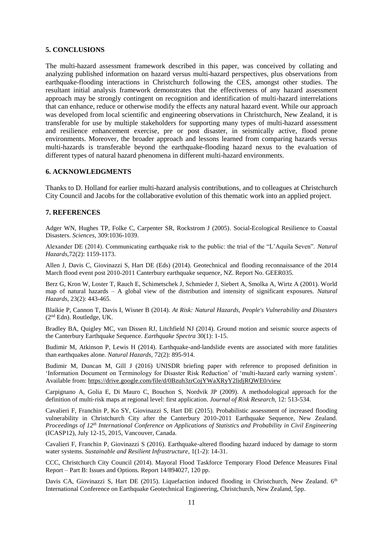#### **5. CONCLUSIONS**

The multi-hazard assessment framework described in this paper, was conceived by collating and analyzing published information on hazard versus multi-hazard perspectives, plus observations from earthquake-flooding interactions in Christchurch following the CES, amongst other studies. The resultant initial analysis framework demonstrates that the effectiveness of any hazard assessment approach may be strongly contingent on recognition and identification of multi-hazard interrelations that can enhance, reduce or otherwise modify the effects any natural hazard event. While our approach was developed from local scientific and engineering observations in Christchurch, New Zealand, it is transferable for use by multiple stakeholders for supporting many types of multi-hazard assessment and resilience enhancement exercise, pre or post disaster, in seismically active, flood prone environments. Moreover, the broader approach and lessons learned from comparing hazards versus multi-hazards is transferable beyond the earthquake-flooding hazard nexus to the evaluation of different types of natural hazard phenomena in different multi-hazard environments.

#### **6. ACKNOWLEDGMENTS**

Thanks to D. Holland for earlier multi-hazard analysis contributions, and to colleagues at Christchurch City Council and Jacobs for the collaborative evolution of this thematic work into an applied project.

#### **7. REFERENCES**

Adger WN, Hughes TP, Folke C, Carpenter SR, Rockstrom J (2005). Social-Ecological Resilience to Coastal Disasters. *Sciences*, 309:1036-1039.

Alexander DE (2014). Communicating earthquake risk to the public: the trial of the "L'Aquila Seven". *Natural Hazards*,72(2): 1159-1173.

Allen J, Davis C, Giovinazzi S, Hart DE (Eds) (2014). Geotechnical and flooding reconnaissance of the 2014 March flood event post 2010-2011 Canterbury earthquake sequence, NZ. Report No. GEER035.

Berz G, Kron W, Loster T, Rauch E, Schimetschek J, Schmieder J, Siebert A, Smolka A, Wirtz A (2001). World map of natural hazards – A global view of the distribution and intensity of significant exposures. *Natural Hazards*, 23(2): 443-465.

Blaikie P, Cannon T, Davis I, Wisner B (2014). *At Risk: Natural Hazards, People's Vulnerability and Disasters*  (2nd Edn). Routledge, UK.

Bradley BA, Quigley MC, van Dissen RJ, Litchfield NJ (2014). Ground motion and seismic source aspects of the Canterbury Earthquake Sequence. *Earthquake Spectra* 30(1): 1-15.

Budimir M, Atkinson P, Lewis H (2014). Earthquake-and-landslide events are associated with more fatalities than earthquakes alone. *Natural Hazards*, 72(2): 895-914.

Budimir M, Duncan M, Gill J (2016) UNISDR briefing paper with reference to proposed definition in 'Information Document on Terminology for Disaster Risk Reduction' of 'multi-hazard early warning system'. Available from:<https://drive.google.com/file/d/0Bzuh3zrCojYWaXRyY2lidjRQWE0/view>

Carpignano A, Golia E, Di Mauro C, Bouchon S, Nordvik JP (2009). A methodological approach for the definition of multi‐risk maps at regional level: first application. *Journal of Risk Research*, 12: 513-534.

Cavalieri F, Franchin P, Ko SY, Giovinazzi S, Hart DE (2015). Probabilistic assessment of increased flooding vulnerability in Christchurch City after the Canterbury 2010-2011 Earthquake Sequence, New Zealand. *Proceedings of 12th International Conference on Applications of Statistics and Probability in Civil Engineering* (ICASP12), July 12-15, 2015, Vancouver, Canada.

Cavalieri F, Franchin P, Giovinazzi S (2016). Earthquake-altered flooding hazard induced by damage to storm water systems. *Sustainable and Resilient Infrastructure*, 1(1-2): 14-31.

CCC, Christchurch City Council (2014). Mayoral Flood Taskforce Temporary Flood Defence Measures Final Report – Part B: Issues and Options. Report 14/894027, 120 pp.

Davis CA, Giovinazzi S, Hart DE (2015). Liquefaction induced flooding in Christchurch, New Zealand. 6<sup>th</sup> International Conference on Earthquake Geotechnical Engineering, Christchurch, New Zealand, 5pp.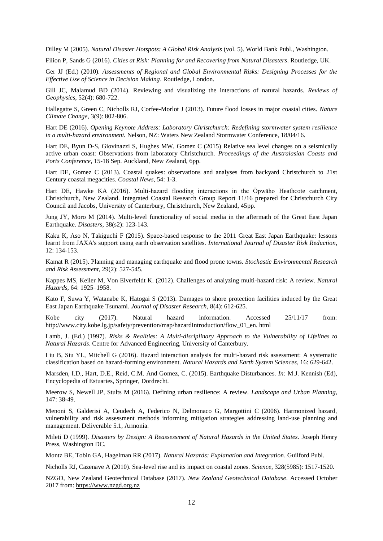Dilley M (2005). *Natural Disaster Hotspots: A Global Risk Analysis* (vol. 5). World Bank Publ., Washington.

Filion P, Sands G (2016). *Cities at Risk: Planning for and Recovering from Natural Disasters*. Routledge, UK.

Ger JJ (Ed.) (2010). *Assessments of Regional and Global Environmental Risks: Designing Processes for the Effective Use of Science in Decision Making*. Routledge, London.

Gill JC, Malamud BD (2014). Reviewing and visualizing the interactions of natural hazards. *Reviews of Geophysics*, 52(4): 680-722.

Hallegatte S, Green C, Nicholls RJ, Corfee-Morlot J (2013). Future flood losses in major coastal cities. *Nature Climate Change*, 3(9): 802-806.

Hart DE (2016). *Opening Keynote Address: Laboratory Christchurch: Redefining stormwater system resilience in a multi-hazard environment.* Nelson, NZ: Waters New Zealand Stormwater Conference, 18/04/16.

Hart DE, Byun D-S, Giovinazzi S, Hughes MW, Gomez C (2015) Relative sea level changes on a seismically active urban coast: Observations from laboratory Christchurch. *Proceedings of the Australasian Coasts and Ports Conference*, 15-18 Sep. Auckland, New Zealand, 6pp.

Hart DE, Gomez C (2013). Coastal quakes: observations and analyses from backyard Christchurch to 21st Century coastal megacities. *Coastal News*, 54: 1-3.

Hart DE, Hawke KA (2016). Multi-hazard flooding interactions in the Ōpwāho Heathcote catchment, Christchurch, New Zealand. Integrated Coastal Research Group Report 11/16 prepared for Christchurch City Council and Jacobs, University of Canterbury, Christchurch, New Zealand, 45pp.

Jung JY, Moro M (2014). Multi-level functionality of social media in the aftermath of the Great East Japan Earthquake. *Disasters*, 38(s2): 123-143.

Kaku K, Aso N, Takiguchi F (2015). Space-based response to the 2011 Great East Japan Earthquake: lessons learnt from JAXA's support using earth observation satellites. *International Journal of Disaster Risk Reduction*, 12: 134-153.

Kamat R (2015). Planning and managing earthquake and flood prone towns. *Stochastic Environmental Research and Risk Assessment*, 29(2): 527-545.

Kappes MS, Keiler M, Von Elverfeldt K. (2012). Challenges of analyzing multi-hazard risk: A review. *Natural Hazards*, 64: 1925–1958.

Kato F, Suwa Y, Watanabe K, Hatogai S (2013). Damages to shore protection facilities induced by the Great East Japan Earthquake Tsunami. *Journal of Disaster Research*, 8(4): 612-625.

Kobe city (2017). Natural hazard information. Accessed 25/11/17 from: http://www.city.kobe.lg.jp/safety/prevention/map/hazardIntroduction/flow\_01\_en. html

Lamb, J. (Ed.) (1997). *Risks & Realities: A Multi-disciplinary Approach to the Vulnerability of Lifelines to Natural Hazards*. Centre for Advanced Engineering, University of Canterbury.

Liu B, Siu YL, Mitchell G (2016). Hazard interaction analysis for multi-hazard risk assessment: A systematic classification based on hazard-forming environment. *Natural Hazards and Earth System Sciences*, 16: 629-642.

Marsden, I.D., Hart, D.E., Reid, C.M. And Gomez, C. (2015). Earthquake Disturbances. *In:* M.J. Kennish (Ed), Encyclopedia of Estuaries, Springer, Dordrecht.

Meerow S, Newell JP, Stults M (2016). Defining urban resilience: A review. *Landscape and Urban Planning*, 147: 38-49.

Menoni S, Galderisi A, Ceudech A, Federico N, Delmonaco G, Margottini C (2006). Harmonized hazard, vulnerability and risk assessment methods informing mitigation strategies addressing land-use planning and management. Deliverable 5.1, Armonia.

Mileti D (1999). *Disasters by Design: A Reassessment of Natural Hazards in the United States*. Joseph Henry Press, Washington DC.

Montz BE, Tobin GA, Hagelman RR (2017). *Natural Hazards: Explanation and Integration*. Guilford Publ.

Nicholls RJ, Cazenave A (2010). Sea-level rise and its impact on coastal zones. *Science*, 328(5985): 1517-1520.

NZGD, New Zealand Geotechnical Database (2017). *New Zealand Geotechnical Database*. Accessed October 2017 from: [https://www.nzgd.org.nz](https://www.nzgd.org.nz/)